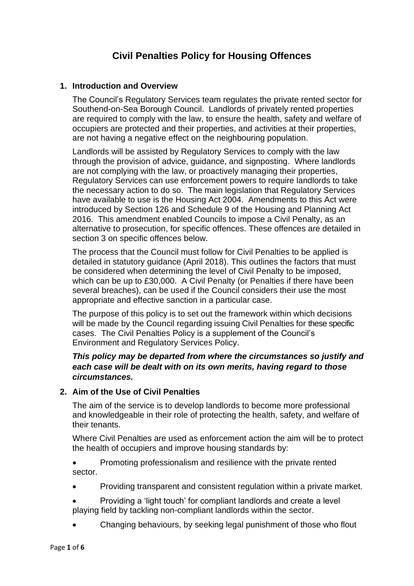# **Civil Penalties Policy for Housing Offences**

#### **1. Introduction and Overview**

The Council's Regulatory Services team regulates the private rented sector for Southend-on-Sea Borough Council. Landlords of privately rented properties are required to comply with the law, to ensure the health, safety and welfare of occupiers are protected and their properties, and activities at their properties, are not having a negative effect on the neighbouring population.

Landlords will be assisted by Regulatory Services to comply with the law through the provision of advice, guidance, and signposting. Where landlords are not complying with the law, or proactively managing their properties, Regulatory Services can use enforcement powers to require landlords to take the necessary action to do so. The main legislation that Regulatory Services have available to use is the Housing Act 2004. Amendments to this Act were introduced by Section 126 and Schedule 9 of the Housing and Planning Act 2016. This amendment enabled Councils to impose a Civil Penalty, as an alternative to prosecution, for specific offences. These offences are detailed in section 3 on specific offences below.

The process that the Council must follow for Civil Penalties to be applied is detailed in statutory guidance (April 2018). This outlines the factors that must be considered when determining the level of Civil Penalty to be imposed, which can be up to £30,000. A Civil Penalty (or Penalties if there have been several breaches), can be used if the Council considers their use the most appropriate and effective sanction in a particular case.

The purpose of this policy is to set out the framework within which decisions will be made by the Council regarding issuing Civil Penalties for these specific cases. The Civil Penalties Policy is a supplement of the Council's Environment and Regulatory Services Policy.

## *This policy may be departed from where the circumstances so justify and each case will be dealt with on its own merits, having regard to those circumstances.*

#### **2. Aim of the Use of Civil Penalties**

The aim of the service is to develop landlords to become more professional and knowledgeable in their role of protecting the health, safety, and welfare of their tenants.

Where Civil Penalties are used as enforcement action the aim will be to protect the health of occupiers and improve housing standards by:

• Promoting professionalism and resilience with the private rented sector.

- Providing transparent and consistent regulation within a private market.
- Providing a 'light touch' for compliant landlords and create a level playing field by tackling non-compliant landlords within the sector.
- Changing behaviours, by seeking legal punishment of those who flout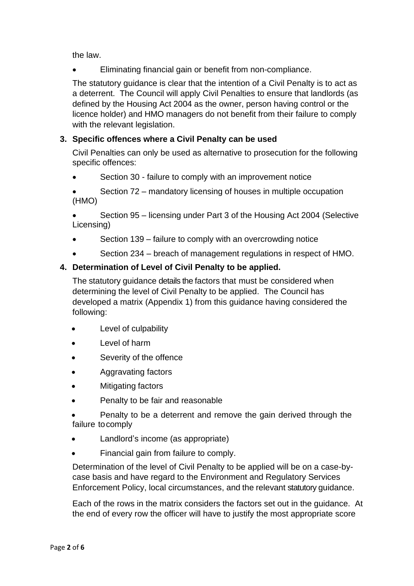the law.

• Eliminating financial gain or benefit from non-compliance.

The statutory guidance is clear that the intention of a Civil Penalty is to act as a deterrent. The Council will apply Civil Penalties to ensure that landlords (as defined by the Housing Act 2004 as the owner, person having control or the licence holder) and HMO managers do not benefit from their failure to comply with the relevant legislation.

# **3. Specific offences where a Civil Penalty can be used**

Civil Penalties can only be used as alternative to prosecution for the following specific offences:

• Section 30 - failure to comply with an improvement notice

• Section 72 – mandatory licensing of houses in multiple occupation (HMO)

• Section 95 – licensing under Part 3 of the Housing Act 2004 (Selective Licensing)

- Section 139 failure to comply with an overcrowding notice
- Section 234 breach of management regulations in respect of HMO.

# **4. Determination of Level of Civil Penalty to be applied.**

The statutory guidance details the factors that must be considered when determining the level of Civil Penalty to be applied. The Council has developed a matrix (Appendix 1) from this guidance having considered the following:

- Level of culpability
- Level of harm
- Severity of the offence
- Aggravating factors
- Mitigating factors
- Penalty to be fair and reasonable
- Penalty to be a deterrent and remove the gain derived through the failure to comply
- Landlord's income (as appropriate)
- Financial gain from failure to comply.

Determination of the level of Civil Penalty to be applied will be on a case-bycase basis and have regard to the Environment and Regulatory Services Enforcement Policy, local circumstances, and the relevant statutory guidance.

Each of the rows in the matrix considers the factors set out in the guidance. At the end of every row the officer will have to justify the most appropriate score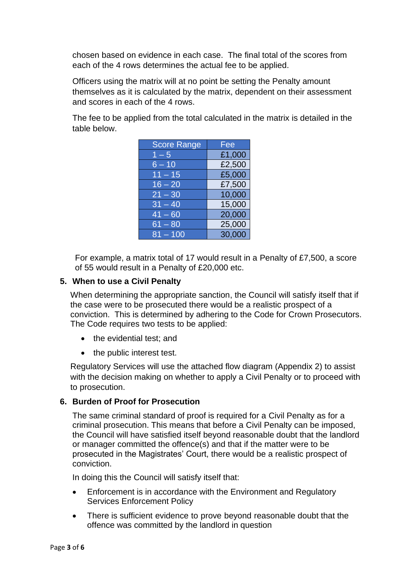chosen based on evidence in each case. The final total of the scores from each of the 4 rows determines the actual fee to be applied.

Officers using the matrix will at no point be setting the Penalty amount themselves as it is calculated by the matrix, dependent on their assessment and scores in each of the 4 rows.

The fee to be applied from the total calculated in the matrix is detailed in the table below.

| <b>Score Range</b> | Fee    |
|--------------------|--------|
| $1 - 5$            | £1,000 |
| $6 - 10$           | £2,500 |
| $11 - 15$          | £5,000 |
| $16 - 20$          | £7,500 |
| $21 - 30$          | 10,000 |
| $31 - 40$          | 15,000 |
| $41 - 60$          | 20,000 |
| $61 - 80$          | 25,000 |
| $81 - 100$         | 30,000 |

For example, a matrix total of 17 would result in a Penalty of £7,500, a score of 55 would result in a Penalty of £20,000 etc.

## **5. When to use a Civil Penalty**

When determining the appropriate sanction, the Council will satisfy itself that if the case were to be prosecuted there would be a realistic prospect of a conviction. This is determined by adhering to the Code for Crown Prosecutors. The Code requires two tests to be applied:

- the evidential test; and
- the public interest test.

Regulatory Services will use the attached flow diagram (Appendix 2) to assist with the decision making on whether to apply a Civil Penalty or to proceed with to prosecution.

#### **6. Burden of Proof for Prosecution**

The same criminal standard of proof is required for a Civil Penalty as for a criminal prosecution. This means that before a Civil Penalty can be imposed, the Council will have satisfied itself beyond reasonable doubt that the landlord or manager committed the offence(s) and that if the matter were to be prosecuted in the Magistrates' Court, there would be a realistic prospect of conviction.

In doing this the Council will satisfy itself that:

- Enforcement is in accordance with the Environment and Regulatory Services Enforcement Policy
- There is sufficient evidence to prove beyond reasonable doubt that the offence was committed by the landlord in question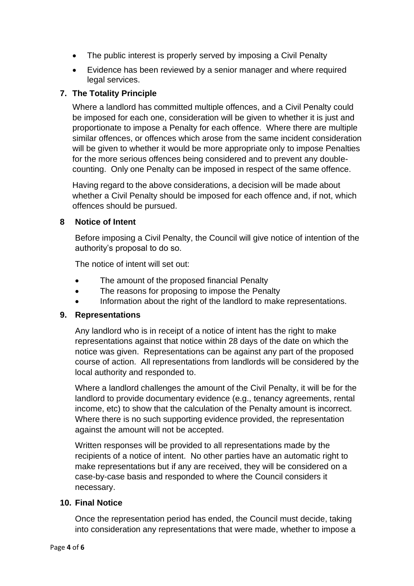- The public interest is properly served by imposing a Civil Penalty
- Evidence has been reviewed by a senior manager and where required legal services.

## **7. The Totality Principle**

Where a landlord has committed multiple offences, and a Civil Penalty could be imposed for each one, consideration will be given to whether it is just and proportionate to impose a Penalty for each offence. Where there are multiple similar offences, or offences which arose from the same incident consideration will be given to whether it would be more appropriate only to impose Penalties for the more serious offences being considered and to prevent any doublecounting. Only one Penalty can be imposed in respect of the same offence.

Having regard to the above considerations, a decision will be made about whether a Civil Penalty should be imposed for each offence and, if not, which offences should be pursued.

#### **8 Notice of Intent**

Before imposing a Civil Penalty, the Council will give notice of intention of the authority's proposal to do so.

The notice of intent will set out:

- The amount of the proposed financial Penalty
- The reasons for proposing to impose the Penalty
- Information about the right of the landlord to make representations.

#### **9. Representations**

Any landlord who is in receipt of a notice of intent has the right to make representations against that notice within 28 days of the date on which the notice was given. Representations can be against any part of the proposed course of action. All representations from landlords will be considered by the local authority and responded to.

Where a landlord challenges the amount of the Civil Penalty, it will be for the landlord to provide documentary evidence (e.g., tenancy agreements, rental income, etc) to show that the calculation of the Penalty amount is incorrect. Where there is no such supporting evidence provided, the representation against the amount will not be accepted.

Written responses will be provided to all representations made by the recipients of a notice of intent. No other parties have an automatic right to make representations but if any are received, they will be considered on a case-by-case basis and responded to where the Council considers it necessary.

#### **10. Final Notice**

Once the representation period has ended, the Council must decide, taking into consideration any representations that were made, whether to impose a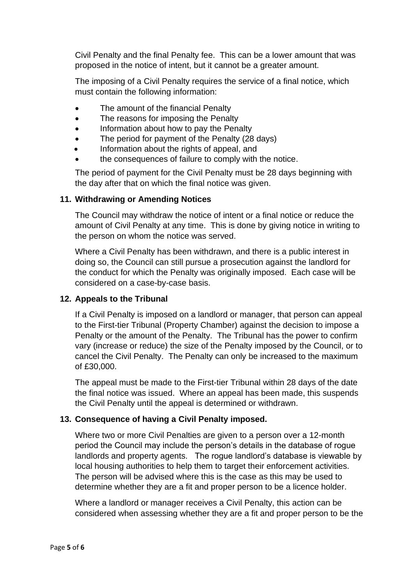Civil Penalty and the final Penalty fee. This can be a lower amount that was proposed in the notice of intent, but it cannot be a greater amount.

The imposing of a Civil Penalty requires the service of a final notice, which must contain the following information:

- The amount of the financial Penalty
- The reasons for imposing the Penalty
- Information about how to pay the Penalty
- The period for payment of the Penalty (28 days)
- Information about the rights of appeal, and
- the consequences of failure to comply with the notice.

The period of payment for the Civil Penalty must be 28 days beginning with the day after that on which the final notice was given.

#### **11. Withdrawing or Amending Notices**

The Council may withdraw the notice of intent or a final notice or reduce the amount of Civil Penalty at any time. This is done by giving notice in writing to the person on whom the notice was served.

Where a Civil Penalty has been withdrawn, and there is a public interest in doing so, the Council can still pursue a prosecution against the landlord for the conduct for which the Penalty was originally imposed. Each case will be considered on a case-by-case basis.

#### **12. Appeals to the Tribunal**

If a Civil Penalty is imposed on a landlord or manager, that person can appeal to the First-tier Tribunal (Property Chamber) against the decision to impose a Penalty or the amount of the Penalty. The Tribunal has the power to confirm vary (increase or reduce) the size of the Penalty imposed by the Council, or to cancel the Civil Penalty. The Penalty can only be increased to the maximum of £30,000.

The appeal must be made to the First-tier Tribunal within 28 days of the date the final notice was issued. Where an appeal has been made, this suspends the Civil Penalty until the appeal is determined or withdrawn.

#### **13. Consequence of having a Civil Penalty imposed.**

Where two or more Civil Penalties are given to a person over a 12-month period the Council may include the person's details in the database of rogue landlords and property agents. The rogue landlord's database is viewable by local housing authorities to help them to target their enforcement activities. The person will be advised where this is the case as this may be used to determine whether they are a fit and proper person to be a licence holder.

Where a landlord or manager receives a Civil Penalty, this action can be considered when assessing whether they are a fit and proper person to be the